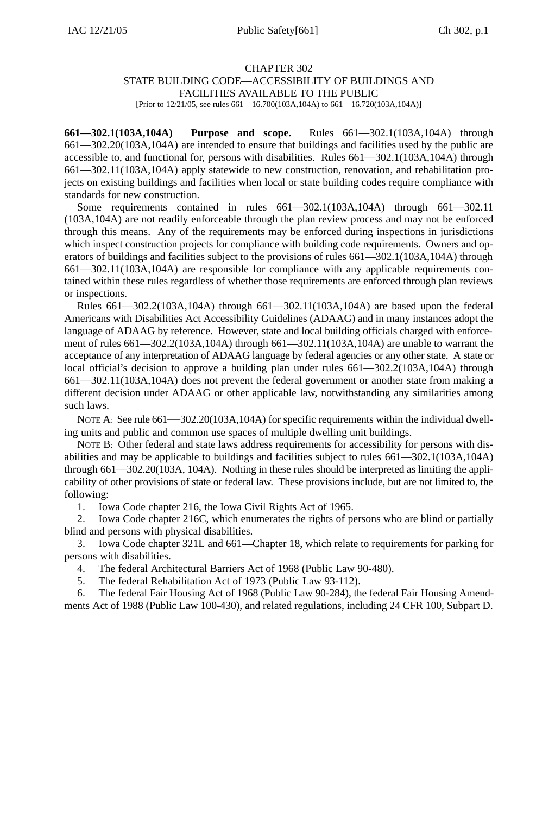#### CHAPTER 302

#### STATE BUILDING CODE—ACCESSIBILITY OF BUILDINGS AND FACILITIES AVAILABLE TO THE PUBLIC

[Prior to 12/21/05, see rules 661—16.700(103A,104A) to 661—16.720(103A,104A)]

**661—302.1(103A,104A) Purpose and scope.** Rules 661—302.1(103A,104A) through 661—302.20(103A,104A) are intended to ensure that buildings and facilities used by the public are accessible to, and functional for, persons with disabilities. Rules 661—302.1(103A,104A) through 661—302.11(103A,104A) apply statewide to new construction, renovation, and rehabilitation projects on existing buildings and facilities when local or state building codes require compliance with standards for new construction.

Some requirements contained in rules 661—302.1(103A,104A) through 661—302.11 (103A,104A) are not readily enforceable through the plan review process and may not be enforced through this means. Any of the requirements may be enforced during inspections in jurisdictions which inspect construction projects for compliance with building code requirements. Owners and operators of buildings and facilities subject to the provisions of rules 661—302.1(103A,104A) through 661—302.11(103A,104A) are responsible for compliance with any applicable requirements contained within these rules regardless of whether those requirements are enforced through plan reviews or inspections.

Rules 661—302.2(103A,104A) through 661—302.11(103A,104A) are based upon the federal Americans with Disabilities Act Accessibility Guidelines (ADAAG) and in many instances adopt the language of ADAAG by reference. However, state and local building officials charged with enforcement of rules 661—302.2(103A,104A) through 661—302.11(103A,104A) are unable to warrant the acceptance of any interpretation of ADAAG language by federal agencies or any other state. A state or local official's decision to approve a building plan under rules 661—302.2(103A,104A) through 661—302.11(103A,104A) does not prevent the federal government or another state from making a different decision under ADAAG or other applicable law, notwithstanding any similarities among such laws.

NOTE A: See rule  $661 - 302.20(103A, 104A)$  for specific requirements within the individual dwelling units and public and common use spaces of multiple dwelling unit buildings.

NOTE B: Other federal and state laws address requirements for accessibility for persons with disabilities and may be applicable to buildings and facilities subject to rules 661—302.1(103A,104A) through 661—302.20(103A, 104A). Nothing in these rules should be interpreted as limiting the applicability of other provisions of state or federal law. These provisions include, but are not limited to, the following:

1. Iowa Code chapter 216, the Iowa Civil Rights Act of 1965.

2. Iowa Code chapter 216C, which enumerates the rights of persons who are blind or partially blind and persons with physical disabilities.

3. Iowa Code chapter 321L and 661—Chapter 18, which relate to requirements for parking for persons with disabilities.

4. The federal Architectural Barriers Act of 1968 (Public Law 90-480).

5. The federal Rehabilitation Act of 1973 (Public Law 93-112).

6. The federal Fair Housing Act of 1968 (Public Law 90-284), the federal Fair Housing Amendments Act of 1988 (Public Law 100-430), and related regulations, including 24 CFR 100, Subpart D.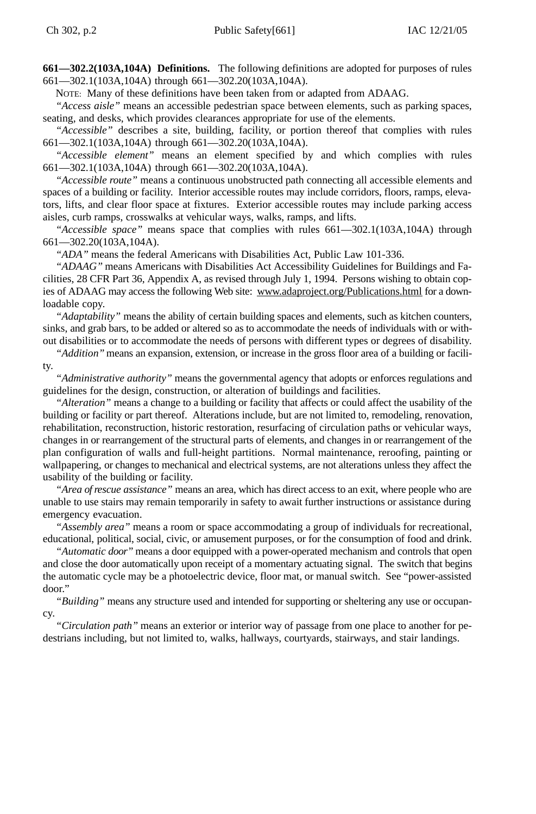**661—302.2(103A,104A) Definitions.** The following definitions are adopted for purposes of rules 661—302.1(103A,104A) through 661—302.20(103A,104A).

NOTE: Many of these definitions have been taken from or adapted from ADAAG.

*"Access aisle"* means an accessible pedestrian space between elements, such as parking spaces, seating, and desks, which provides clearances appropriate for use of the elements.

*"Accessible"* describes a site, building, facility, or portion thereof that complies with rules 661—302.1(103A,104A) through 661—302.20(103A,104A).

*"Accessible element"* means an element specified by and which complies with rules 661—302.1(103A,104A) through 661—302.20(103A,104A).

*"Accessible route"* means a continuous unobstructed path connecting all accessible elements and spaces of a building or facility. Interior accessible routes may include corridors, floors, ramps, elevators, lifts, and clear floor space at fixtures. Exterior accessible routes may include parking access aisles, curb ramps, crosswalks at vehicular ways, walks, ramps, and lifts.

*"Accessible space"* means space that complies with rules 661—302.1(103A,104A) through 661—302.20(103A,104A).

*"ADA"* means the federal Americans with Disabilities Act, Public Law 101-336.

*"ADAAG"* means Americans with Disabilities Act Accessibility Guidelines for Buildings and Facilities, 28 CFR Part 36, Appendix A, as revised through July 1, 1994. Persons wishing to obtain copies of ADAAG may access the following Web site: www.adaproject.org/Publications.html for a downloadable copy.

*"Adaptability"* means the ability of certain building spaces and elements, such as kitchen counters, sinks, and grab bars, to be added or altered so as to accommodate the needs of individuals with or without disabilities or to accommodate the needs of persons with different types or degrees of disability.

*"Addition"* means an expansion, extension, or increase in the gross floor area of a building or facility.

*"Administrative authority"* means the governmental agency that adopts or enforces regulations and guidelines for the design, construction, or alteration of buildings and facilities.

*"Alteration"* means a change to a building or facility that affects or could affect the usability of the building or facility or part thereof. Alterations include, but are not limited to, remodeling, renovation, rehabilitation, reconstruction, historic restoration, resurfacing of circulation paths or vehicular ways, changes in or rearrangement of the structural parts of elements, and changes in or rearrangement of the plan configuration of walls and full-height partitions. Normal maintenance, reroofing, painting or wallpapering, or changes to mechanical and electrical systems, are not alterations unless they affect the usability of the building or facility.

*"Area of rescue assistance"* means an area, which has direct access to an exit, where people who are unable to use stairs may remain temporarily in safety to await further instructions or assistance during emergency evacuation.

*"Assembly area"* means a room or space accommodating a group of individuals for recreational, educational, political, social, civic, or amusement purposes, or for the consumption of food and drink.

*"Automatic door"* means a door equipped with a power-operated mechanism and controls that open and close the door automatically upon receipt of a momentary actuating signal. The switch that begins the automatic cycle may be a photoelectric device, floor mat, or manual switch. See "power-assisted door."

*"Building"* means any structure used and intended for supporting or sheltering any use or occupancy.

*"Circulation path"* means an exterior or interior way of passage from one place to another for pedestrians including, but not limited to, walks, hallways, courtyards, stairways, and stair landings.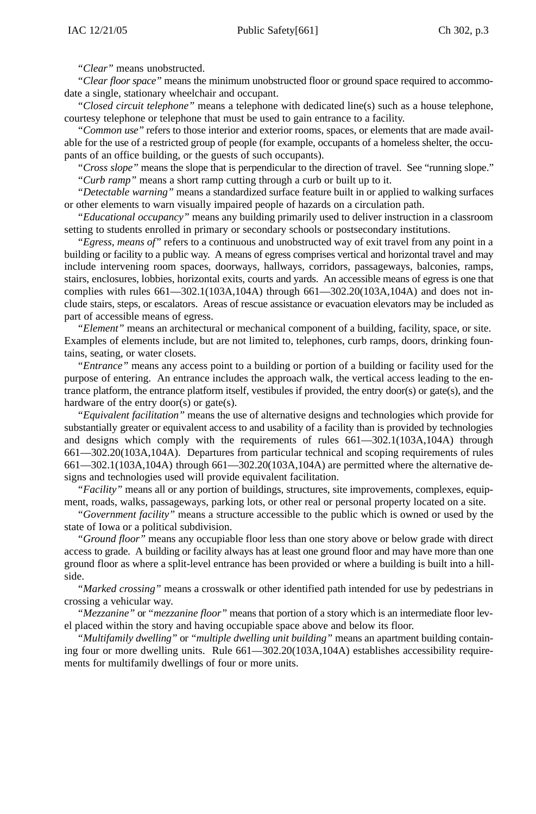*"Clear"* means unobstructed.

*"Clear floor space"* means the minimum unobstructed floor or ground space required to accommodate a single, stationary wheelchair and occupant.

*"Closed circuit telephone"* means a telephone with dedicated line(s) such as a house telephone, courtesy telephone or telephone that must be used to gain entrance to a facility.

*"Common use"* refers to those interior and exterior rooms, spaces, or elements that are made available for the use of a restricted group of people (for example, occupants of a homeless shelter, the occupants of an office building, or the guests of such occupants).

*"Cross slope"* means the slope that is perpendicular to the direction of travel. See "running slope." *"Curb ramp"* means a short ramp cutting through a curb or built up to it.

*"Detectable warning"* means a standardized surface feature built in or applied to walking surfaces or other elements to warn visually impaired people of hazards on a circulation path.

*"Educational occupancy"* means any building primarily used to deliver instruction in a classroom setting to students enrolled in primary or secondary schools or postsecondary institutions.

*"Egress, means of"* refers to a continuous and unobstructed way of exit travel from any point in a building or facility to a public way. A means of egress comprises vertical and horizontal travel and may include intervening room spaces, doorways, hallways, corridors, passageways, balconies, ramps, stairs, enclosures, lobbies, horizontal exits, courts and yards. An accessible means of egress is one that complies with rules  $661 - 302.1(103A, 104A)$  through  $661 - 302.20(103A, 104A)$  and does not include stairs, steps, or escalators. Areas of rescue assistance or evacuation elevators may be included as part of accessible means of egress.

*"Element"* means an architectural or mechanical component of a building, facility, space, or site. Examples of elements include, but are not limited to, telephones, curb ramps, doors, drinking fountains, seating, or water closets.

*"Entrance"* means any access point to a building or portion of a building or facility used for the purpose of entering. An entrance includes the approach walk, the vertical access leading to the entrance platform, the entrance platform itself, vestibules if provided, the entry door(s) or gate(s), and the hardware of the entry door(s) or gate(s).

*"Equivalent facilitation"* means the use of alternative designs and technologies which provide for substantially greater or equivalent access to and usability of a facility than is provided by technologies and designs which comply with the requirements of rules 661—302.1(103A,104A) through 661—302.20(103A,104A). Departures from particular technical and scoping requirements of rules 661—302.1(103A,104A) through 661—302.20(103A,104A) are permitted where the alternative designs and technologies used will provide equivalent facilitation.

*"Facility"* means all or any portion of buildings, structures, site improvements, complexes, equipment, roads, walks, passageways, parking lots, or other real or personal property located on a site.

*"Government facility"* means a structure accessible to the public which is owned or used by the state of Iowa or a political subdivision.

*"Ground floor"* means any occupiable floor less than one story above or below grade with direct access to grade. A building or facility always has at least one ground floor and may have more than one ground floor as where a split-level entrance has been provided or where a building is built into a hillside.

*"Marked crossing"* means a crosswalk or other identified path intended for use by pedestrians in crossing a vehicular way.

*"Mezzanine"* or *"mezzanine floor"* means that portion of a story which is an intermediate floor level placed within the story and having occupiable space above and below its floor.

*"Multifamily dwelling"* or *"multiple dwelling unit building"* means an apartment building containing four or more dwelling units. Rule 661—302.20(103A,104A) establishes accessibility requirements for multifamily dwellings of four or more units.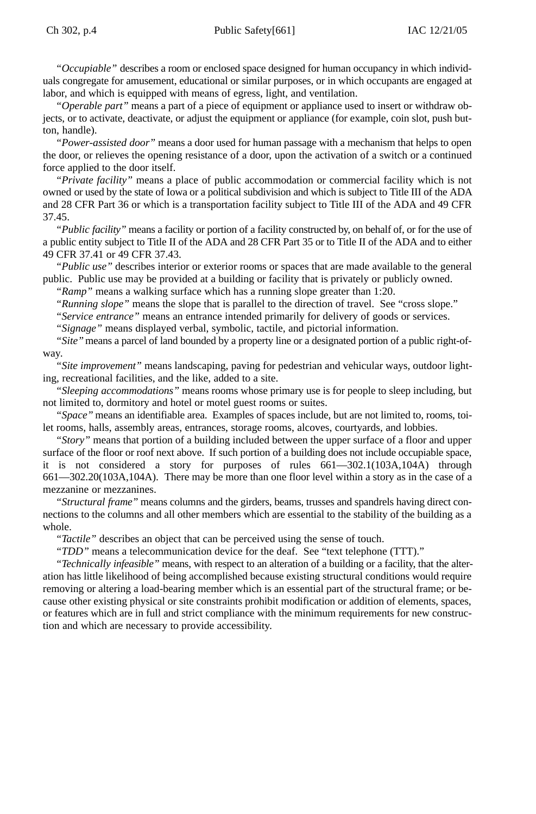*"Occupiable"* describes a room or enclosed space designed for human occupancy in which individuals congregate for amusement, educational or similar purposes, or in which occupants are engaged at labor, and which is equipped with means of egress, light, and ventilation.

*"Operable part"* means a part of a piece of equipment or appliance used to insert or withdraw objects, or to activate, deactivate, or adjust the equipment or appliance (for example, coin slot, push button, handle).

*"Power-assisted door"* means a door used for human passage with a mechanism that helps to open the door, or relieves the opening resistance of a door, upon the activation of a switch or a continued force applied to the door itself.

*"Private facility"* means a place of public accommodation or commercial facility which is not owned or used by the state of Iowa or a political subdivision and which is subject to Title III of the ADA and 28 CFR Part 36 or which is a transportation facility subject to Title III of the ADA and 49 CFR 37.45.

*"Public facility"* means a facility or portion of a facility constructed by, on behalf of, or for the use of a public entity subject to Title II of the ADA and 28 CFR Part 35 or to Title II of the ADA and to either 49 CFR 37.41 or 49 CFR 37.43.

*"Public use"* describes interior or exterior rooms or spaces that are made available to the general public. Public use may be provided at a building or facility that is privately or publicly owned.

*"Ramp"* means a walking surface which has a running slope greater than 1:20.

*"Running slope"* means the slope that is parallel to the direction of travel. See "cross slope."

*"Service entrance"* means an entrance intended primarily for delivery of goods or services.

*"Signage"* means displayed verbal, symbolic, tactile, and pictorial information.

*"Site"* means a parcel of land bounded by a property line or a designated portion of a public right-ofway.

*"Site improvement"* means landscaping, paving for pedestrian and vehicular ways, outdoor lighting, recreational facilities, and the like, added to a site.

*"Sleeping accommodations"* means rooms whose primary use is for people to sleep including, but not limited to, dormitory and hotel or motel guest rooms or suites.

*"Space"* means an identifiable area. Examples of spaces include, but are not limited to, rooms, toilet rooms, halls, assembly areas, entrances, storage rooms, alcoves, courtyards, and lobbies.

*"Story"* means that portion of a building included between the upper surface of a floor and upper surface of the floor or roof next above. If such portion of a building does not include occupiable space, it is not considered a story for purposes of rules 661—302.1(103A,104A) through 661—302.20(103A,104A). There may be more than one floor level within a story as in the case of a mezzanine or mezzanines.

*"Structural frame"* means columns and the girders, beams, trusses and spandrels having direct connections to the columns and all other members which are essential to the stability of the building as a whole.

*"Tactile"* describes an object that can be perceived using the sense of touch.

*"TDD"* means a telecommunication device for the deaf. See "text telephone (TTT)."

*"Technically infeasible"* means, with respect to an alteration of a building or a facility, that the alteration has little likelihood of being accomplished because existing structural conditions would require removing or altering a load-bearing member which is an essential part of the structural frame; or because other existing physical or site constraints prohibit modification or addition of elements, spaces, or features which are in full and strict compliance with the minimum requirements for new construction and which are necessary to provide accessibility.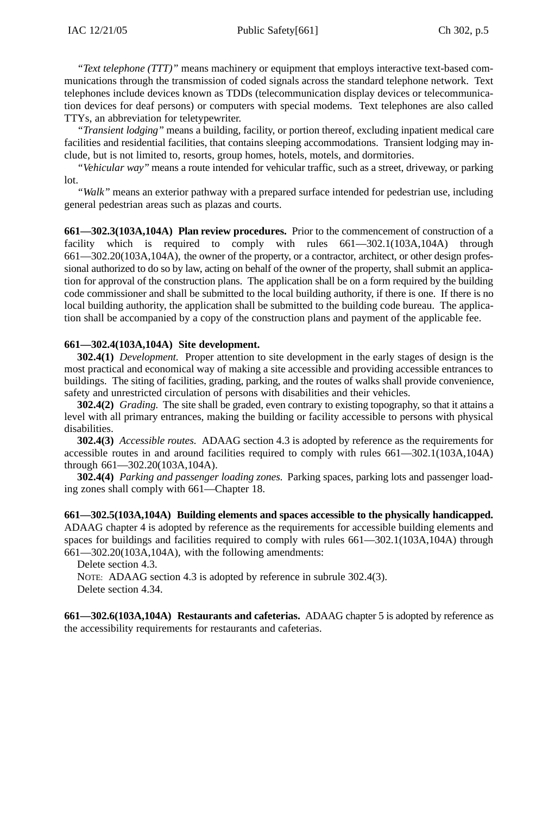*"Text telephone (TTT)"* means machinery or equipment that employs interactive text-based communications through the transmission of coded signals across the standard telephone network. Text telephones include devices known as TDDs (telecommunication display devices or telecommunication devices for deaf persons) or computers with special modems. Text telephones are also called TTYs, an abbreviation for teletypewriter.

*"Transient lodging"* means a building, facility, or portion thereof, excluding inpatient medical care facilities and residential facilities, that contains sleeping accommodations. Transient lodging may include, but is not limited to, resorts, group homes, hotels, motels, and dormitories.

*"Vehicular way"* means a route intended for vehicular traffic, such as a street, driveway, or parking lot.

*"Walk"* means an exterior pathway with a prepared surface intended for pedestrian use, including general pedestrian areas such as plazas and courts.

**661—302.3(103A,104A) Plan review procedures.** Prior to the commencement of construction of a facility which is required to comply with rules 661—302.1(103A,104A) through 661—302.20(103A,104A), the owner of the property, or a contractor, architect, or other design professional authorized to do so by law, acting on behalf of the owner of the property, shall submit an application for approval of the construction plans. The application shall be on a form required by the building code commissioner and shall be submitted to the local building authority, if there is one. If there is no local building authority, the application shall be submitted to the building code bureau. The application shall be accompanied by a copy of the construction plans and payment of the applicable fee.

### **661—302.4(103A,104A) Site development.**

**302.4(1)** *Development.* Proper attention to site development in the early stages of design is the most practical and economical way of making a site accessible and providing accessible entrances to buildings. The siting of facilities, grading, parking, and the routes of walks shall provide convenience, safety and unrestricted circulation of persons with disabilities and their vehicles.

**302.4(2)** *Grading.* The site shall be graded, even contrary to existing topography, so that it attains a level with all primary entrances, making the building or facility accessible to persons with physical disabilities.

**302.4(3)** *Accessible routes.* ADAAG section 4.3 is adopted by reference as the requirements for accessible routes in and around facilities required to comply with rules 661—302.1(103A,104A) through 661—302.20(103A,104A).

**302.4(4)** *Parking and passenger loading zones.* Parking spaces, parking lots and passenger loading zones shall comply with 661—Chapter 18.

**661—302.5(103A,104A) Building elements and spaces accessible to the physically handicapped.** ADAAG chapter 4 is adopted by reference as the requirements for accessible building elements and spaces for buildings and facilities required to comply with rules 661—302.1(103A,104A) through 661—302.20(103A,104A), with the following amendments:

Delete section 4.3.

NOTE: ADAAG section 4.3 is adopted by reference in subrule 302.4(3). Delete section 4.34.

**661—302.6(103A,104A) Restaurants and cafeterias.** ADAAG chapter 5 is adopted by reference as the accessibility requirements for restaurants and cafeterias.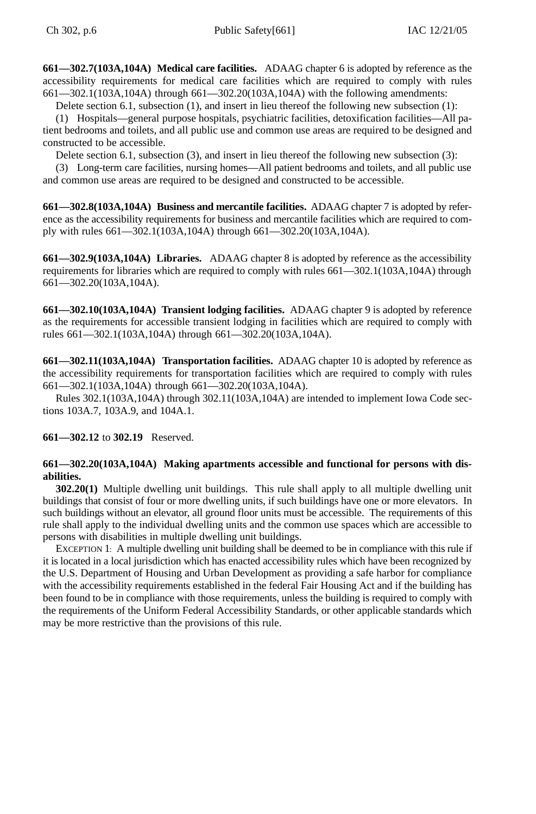**661—302.7(103A,104A) Medical care facilities.** ADAAG chapter 6 is adopted by reference as the accessibility requirements for medical care facilities which are required to comply with rules 661—302.1(103A,104A) through 661—302.20(103A,104A) with the following amendments:

Delete section 6.1, subsection (1), and insert in lieu thereof the following new subsection (1):

(1) Hospitals—general purpose hospitals, psychiatric facilities, detoxification facilities—All patient bedrooms and toilets, and all public use and common use areas are required to be designed and constructed to be accessible.

Delete section 6.1, subsection (3), and insert in lieu thereof the following new subsection (3):

(3) Long-term care facilities, nursing homes—All patient bedrooms and toilets, and all public use and common use areas are required to be designed and constructed to be accessible.

**661—302.8(103A,104A) Business and mercantile facilities.** ADAAG chapter 7 is adopted by reference as the accessibility requirements for business and mercantile facilities which are required to comply with rules 661—302.1(103A,104A) through 661—302.20(103A,104A).

**661—302.9(103A,104A) Libraries.** ADAAG chapter 8 is adopted by reference as the accessibility requirements for libraries which are required to comply with rules 661—302.1(103A,104A) through 661—302.20(103A,104A).

**661—302.10(103A,104A) Transient lodging facilities.** ADAAG chapter 9 is adopted by reference as the requirements for accessible transient lodging in facilities which are required to comply with rules 661—302.1(103A,104A) through 661—302.20(103A,104A).

**661—302.11(103A,104A) Transportation facilities.** ADAAG chapter 10 is adopted by reference as the accessibility requirements for transportation facilities which are required to comply with rules 661—302.1(103A,104A) through 661—302.20(103A,104A).

Rules 302.1(103A,104A) through 302.11(103A,104A) are intended to implement Iowa Code sections 103A.7, 103A.9, and 104A.1.

**661—302.12** to **302.19** Reserved.

# **661—302.20(103A,104A) Making apartments accessible and functional for persons with disabilities.**

**302.20(1)** Multiple dwelling unit buildings. This rule shall apply to all multiple dwelling unit buildings that consist of four or more dwelling units, if such buildings have one or more elevators. In such buildings without an elevator, all ground floor units must be accessible. The requirements of this rule shall apply to the individual dwelling units and the common use spaces which are accessible to persons with disabilities in multiple dwelling unit buildings.

EXCEPTION 1: A multiple dwelling unit building shall be deemed to be in compliance with this rule if it is located in a local jurisdiction which has enacted accessibility rules which have been recognized by the U.S. Department of Housing and Urban Development as providing a safe harbor for compliance with the accessibility requirements established in the federal Fair Housing Act and if the building has been found to be in compliance with those requirements, unless the building is required to comply with the requirements of the Uniform Federal Accessibility Standards, or other applicable standards which may be more restrictive than the provisions of this rule.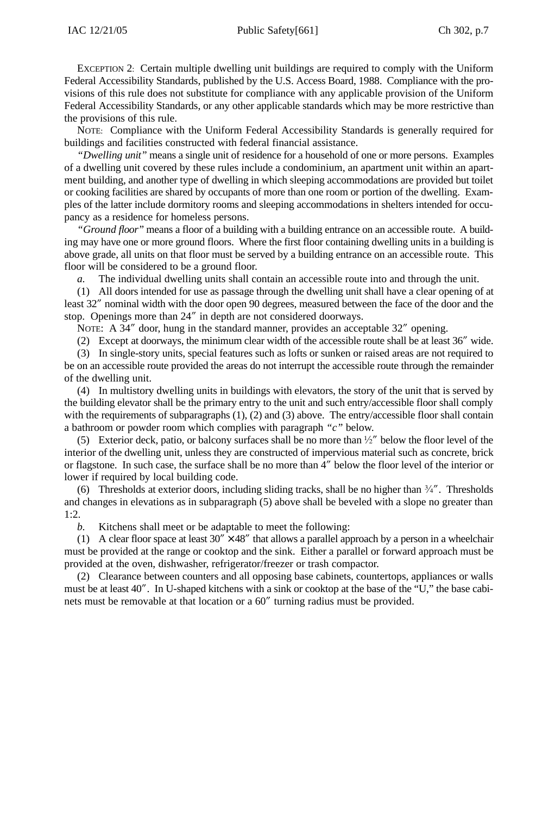EXCEPTION 2: Certain multiple dwelling unit buildings are required to comply with the Uniform Federal Accessibility Standards, published by the U.S. Access Board, 1988. Compliance with the provisions of this rule does not substitute for compliance with any applicable provision of the Uniform Federal Accessibility Standards, or any other applicable standards which may be more restrictive than the provisions of this rule.

NOTE: Compliance with the Uniform Federal Accessibility Standards is generally required for buildings and facilities constructed with federal financial assistance.

*"Dwelling unit"* means a single unit of residence for a household of one or more persons. Examples of a dwelling unit covered by these rules include a condominium, an apartment unit within an apartment building, and another type of dwelling in which sleeping accommodations are provided but toilet or cooking facilities are shared by occupants of more than one room or portion of the dwelling. Examples of the latter include dormitory rooms and sleeping accommodations in shelters intended for occupancy as a residence for homeless persons.

*"Ground floor"* means a floor of a building with a building entrance on an accessible route. A building may have one or more ground floors. Where the first floor containing dwelling units in a building is above grade, all units on that floor must be served by a building entrance on an accessible route. This floor will be considered to be a ground floor.

*a.* The individual dwelling units shall contain an accessible route into and through the unit.

(1) All doors intended for use as passage through the dwelling unit shall have a clear opening of at least 32" nominal width with the door open 90 degrees, measured between the face of the door and the stop. Openings more than 24" in depth are not considered doorways.

NOTE: A 34" door, hung in the standard manner, provides an acceptable 32" opening.

(2) Except at doorways, the minimum clear width of the accessible route shall be at least 36" wide.

(3) In single-story units, special features such as lofts or sunken or raised areas are not required to be on an accessible route provided the areas do not interrupt the accessible route through the remainder of the dwelling unit.

(4) In multistory dwelling units in buildings with elevators, the story of the unit that is served by the building elevator shall be the primary entry to the unit and such entry/accessible floor shall comply with the requirements of subparagraphs (1), (2) and (3) above. The entry/accessible floor shall contain a bathroom or powder room which complies with paragraph *"c"* below.

(5) Exterior deck, patio, or balcony surfaces shall be no more than  $\frac{1}{2}$ " below the floor level of the interior of the dwelling unit, unless they are constructed of impervious material such as concrete, brick or flagstone. In such case, the surface shall be no more than 4" below the floor level of the interior or lower if required by local building code.

(6) Thresholds at exterior doors, including sliding tracks, shall be no higher than  $\frac{3}{4}$ ". Thresholds and changes in elevations as in subparagraph (5) above shall be beveled with a slope no greater than 1:2.

*b.* Kitchens shall meet or be adaptable to meet the following:

(1) A clear floor space at least  $30'' \times 48''$  that allows a parallel approach by a person in a wheelchair must be provided at the range or cooktop and the sink. Either a parallel or forward approach must be provided at the oven, dishwasher, refrigerator/freezer or trash compactor.

(2) Clearance between counters and all opposing base cabinets, countertops, appliances or walls must be at least 40". In U-shaped kitchens with a sink or cooktop at the base of the "U," the base cabinets must be removable at that location or a 60" turning radius must be provided.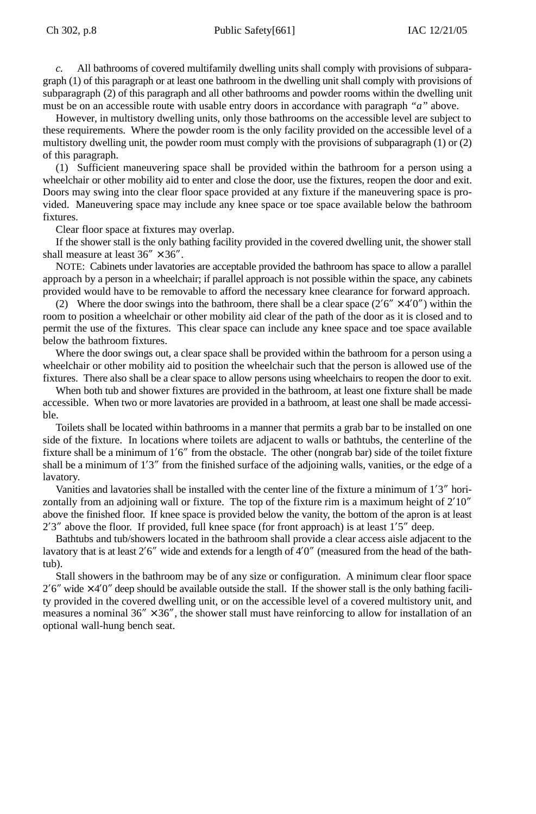## Ch 302, p.8 Public Safety[661] IAC 12/21/05

*c.* All bathrooms of covered multifamily dwelling units shall comply with provisions of subparagraph (1) of this paragraph or at least one bathroom in the dwelling unit shall comply with provisions of subparagraph (2) of this paragraph and all other bathrooms and powder rooms within the dwelling unit must be on an accessible route with usable entry doors in accordance with paragraph *"a"* above.

However, in multistory dwelling units, only those bathrooms on the accessible level are subject to these requirements. Where the powder room is the only facility provided on the accessible level of a multistory dwelling unit, the powder room must comply with the provisions of subparagraph (1) or (2) of this paragraph.

(1) Sufficient maneuvering space shall be provided within the bathroom for a person using a wheelchair or other mobility aid to enter and close the door, use the fixtures, reopen the door and exit. Doors may swing into the clear floor space provided at any fixture if the maneuvering space is provided. Maneuvering space may include any knee space or toe space available below the bathroom fixtures.

Clear floor space at fixtures may overlap.

If the shower stall is the only bathing facility provided in the covered dwelling unit, the shower stall shall measure at least  $36'' \times 36''$ .

NOTE: Cabinets under lavatories are acceptable provided the bathroom has space to allow a parallel approach by a person in a wheelchair; if parallel approach is not possible within the space, any cabinets provided would have to be removable to afford the necessary knee clearance for forward approach.

(2) Where the door swings into the bathroom, there shall be a clear space  $(2'6'' \times 4'0'')$  within the room to position a wheelchair or other mobility aid clear of the path of the door as it is closed and to permit the use of the fixtures. This clear space can include any knee space and toe space available below the bathroom fixtures.

Where the door swings out, a clear space shall be provided within the bathroom for a person using a wheelchair or other mobility aid to position the wheelchair such that the person is allowed use of the fixtures. There also shall be a clear space to allow persons using wheelchairs to reopen the door to exit.

When both tub and shower fixtures are provided in the bathroom, at least one fixture shall be made accessible. When two or more lavatories are provided in a bathroom, at least one shall be made accessible.

Toilets shall be located within bathrooms in a manner that permits a grab bar to be installed on one side of the fixture. In locations where toilets are adjacent to walls or bathtubs, the centerline of the fixture shall be a minimum of 1'6" from the obstacle. The other (nongrab bar) side of the toilet fixture shall be a minimum of 1'3" from the finished surface of the adjoining walls, vanities, or the edge of a lavatory.

Vanities and lavatories shall be installed with the center line of the fixture a minimum of 1'3" horizontally from an adjoining wall or fixture. The top of the fixture rim is a maximum height of  $2'10''$ above the finished floor. If knee space is provided below the vanity, the bottom of the apron is at least  $2'3''$  above the floor. If provided, full knee space (for front approach) is at least  $1'5''$  deep.

Bathtubs and tub/showers located in the bathroom shall provide a clear access aisle adjacent to the lavatory that is at least 2'6" wide and extends for a length of 4'0" (measured from the head of the bathtub).

Stall showers in the bathroom may be of any size or configuration. A minimum clear floor space  $2'6''$  wide  $\times$  4'0" deep should be available outside the stall. If the shower stall is the only bathing facility provided in the covered dwelling unit, or on the accessible level of a covered multistory unit, and measures a nominal  $36'' \times 36''$ , the shower stall must have reinforcing to allow for installation of an optional wall-hung bench seat.